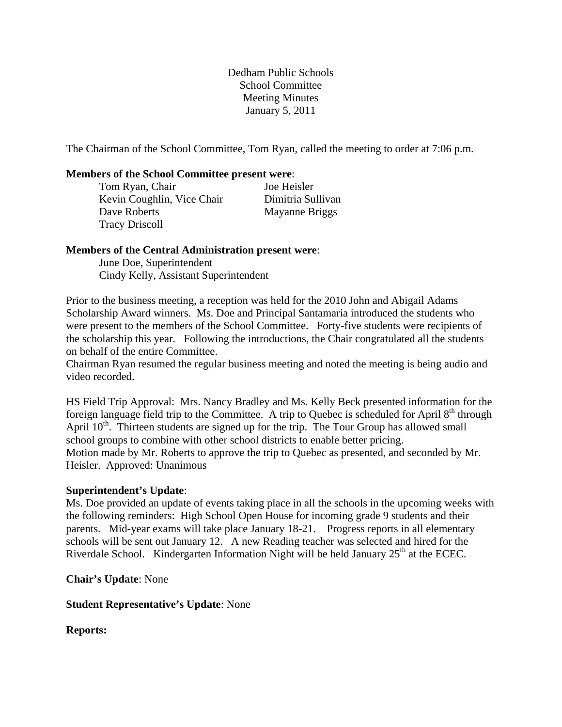Dedham Public Schools School Committee Meeting Minutes January 5, 2011

The Chairman of the School Committee, Tom Ryan, called the meeting to order at 7:06 p.m.

### **Members of the School Committee present were**:

| Tom Ryan, Chair            | Joe Heisler       |
|----------------------------|-------------------|
| Kevin Coughlin, Vice Chair | Dimitria Sullivan |
| Dave Roberts               | Mayanne Briggs    |
| <b>Tracy Driscoll</b>      |                   |

#### **Members of the Central Administration present were**:

 June Doe, Superintendent Cindy Kelly, Assistant Superintendent

Prior to the business meeting, a reception was held for the 2010 John and Abigail Adams Scholarship Award winners. Ms. Doe and Principal Santamaria introduced the students who were present to the members of the School Committee. Forty-five students were recipients of the scholarship this year. Following the introductions, the Chair congratulated all the students on behalf of the entire Committee.

Chairman Ryan resumed the regular business meeting and noted the meeting is being audio and video recorded.

HS Field Trip Approval: Mrs. Nancy Bradley and Ms. Kelly Beck presented information for the foreign language field trip to the Committee. A trip to Quebec is scheduled for April  $8<sup>th</sup>$  through April  $10<sup>th</sup>$ . Thirteen students are signed up for the trip. The Tour Group has allowed small school groups to combine with other school districts to enable better pricing. Motion made by Mr. Roberts to approve the trip to Quebec as presented, and seconded by Mr. Heisler. Approved: Unanimous

### **Superintendent's Update**:

Ms. Doe provided an update of events taking place in all the schools in the upcoming weeks with the following reminders: High School Open House for incoming grade 9 students and their parents. Mid-year exams will take place January 18-21. Progress reports in all elementary schools will be sent out January 12. A new Reading teacher was selected and hired for the Riverdale School. Kindergarten Information Night will be held January  $25<sup>th</sup>$  at the ECEC.

**Chair's Update**: None

### **Student Representative's Update**: None

**Reports:**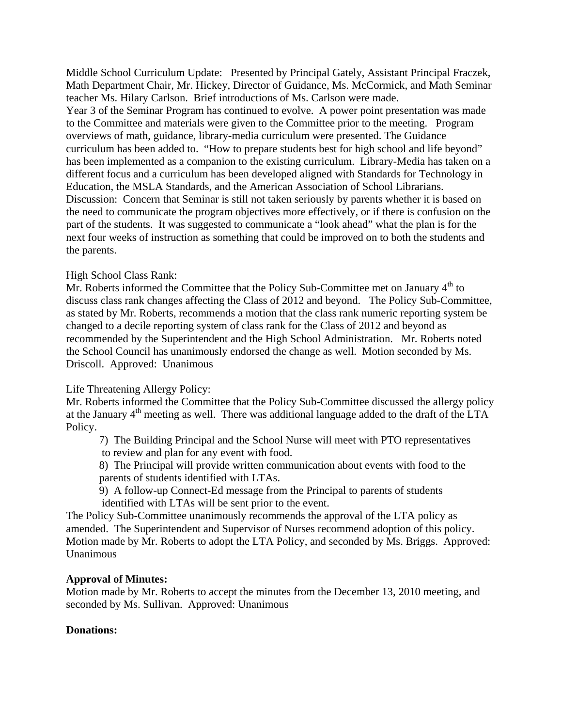Middle School Curriculum Update: Presented by Principal Gately, Assistant Principal Fraczek, Math Department Chair, Mr. Hickey, Director of Guidance, Ms. McCormick, and Math Seminar teacher Ms. Hilary Carlson. Brief introductions of Ms. Carlson were made. Year 3 of the Seminar Program has continued to evolve. A power point presentation was made to the Committee and materials were given to the Committee prior to the meeting. Program overviews of math, guidance, library-media curriculum were presented. The Guidance curriculum has been added to. "How to prepare students best for high school and life beyond" has been implemented as a companion to the existing curriculum. Library-Media has taken on a different focus and a curriculum has been developed aligned with Standards for Technology in Education, the MSLA Standards, and the American Association of School Librarians. Discussion: Concern that Seminar is still not taken seriously by parents whether it is based on the need to communicate the program objectives more effectively, or if there is confusion on the part of the students. It was suggested to communicate a "look ahead" what the plan is for the next four weeks of instruction as something that could be improved on to both the students and the parents.

### High School Class Rank:

Mr. Roberts informed the Committee that the Policy Sub-Committee met on January 4<sup>th</sup> to discuss class rank changes affecting the Class of 2012 and beyond. The Policy Sub-Committee, as stated by Mr. Roberts, recommends a motion that the class rank numeric reporting system be changed to a decile reporting system of class rank for the Class of 2012 and beyond as recommended by the Superintendent and the High School Administration. Mr. Roberts noted the School Council has unanimously endorsed the change as well. Motion seconded by Ms. Driscoll. Approved: Unanimous

### Life Threatening Allergy Policy:

Mr. Roberts informed the Committee that the Policy Sub-Committee discussed the allergy policy at the January 4th meeting as well. There was additional language added to the draft of the LTA Policy.

7) The Building Principal and the School Nurse will meet with PTO representatives to review and plan for any event with food.

8) The Principal will provide written communication about events with food to the parents of students identified with LTAs.

9) A follow-up Connect-Ed message from the Principal to parents of students identified with LTAs will be sent prior to the event.

The Policy Sub-Committee unanimously recommends the approval of the LTA policy as amended. The Superintendent and Supervisor of Nurses recommend adoption of this policy. Motion made by Mr. Roberts to adopt the LTA Policy, and seconded by Ms. Briggs. Approved: Unanimous

### **Approval of Minutes:**

Motion made by Mr. Roberts to accept the minutes from the December 13, 2010 meeting, and seconded by Ms. Sullivan. Approved: Unanimous

### **Donations:**